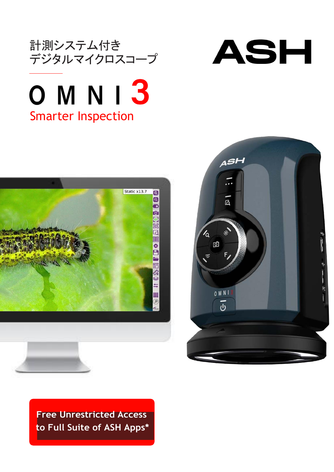



## 0 M N I 3 Smarter Inspection





**Free Unrestricted Access to Full Suite of ASH Apps\***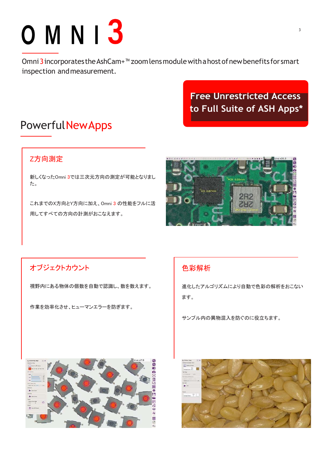

Omni 3 incorporates the AshCam+<sup>™</sup> zoom lens module with a host of new benefits for smart inspection andmeasurement.

> **Free Unrestricted Access to Full Suite of ASH Apps\***

### **PowerfulNewApps**

### Z方向測定

新しくなったOmni 3では三次元方向の測定が可能となりまし た。

これまでのX方向とY方向に加え、Omni 3 の性能をフルに活 用してすべての方向の計測がおこなえます。



### オブジェクトカウント

視野内にある物体の個数を自動で認識し、数を数えます。

作業を効率化させ、ヒューマンエラーを防ぎます。

### 色彩解析

進化したアルゴリズムにより自動で色彩の解析をおこない ます。

サンプル内の異物混入を防ぐのに役立ちます。



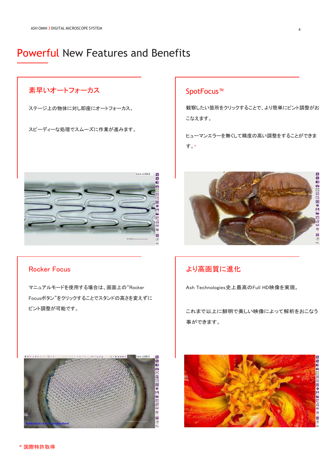### Powerful New Features and Benefits

### 素早いオートフォーカス

ステージ上の物体に対し即座にオートフォーカス。

スピーディーな処理でスムーズに作業が進みます。



### Rocker Focus

マニュアルモードを使用する場合は、画面上の"Rocker Focusボタン"をクリックすることでスタンドの高さを変えずに ピント調整が可能です。



### SpotFocus™

観察したい箇所をクリックすることで、より簡単にピント調整がお こなえます。

ヒューマンエラーを無くして精度の高い調整をすることができま す。**\***



### より高画質に進化

Ash Technologies史上最高のFull HD映像を実現。

これまで以上に鮮明で美しい映像によって解析をおこなう 事ができます。

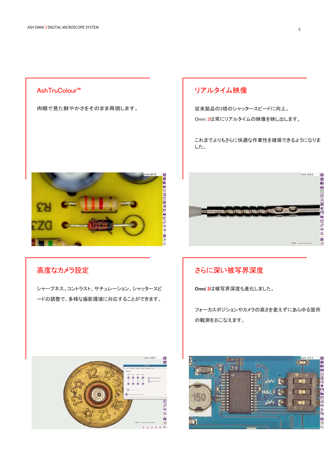### AshTruColour™

肉眼で見た鮮やかさをそのまま再現します。

### リアルタイム映像

従来製品の3倍のシャッタースピードに向上。

Omni 3は常にリアルタイムの映像を映し出します。

これまでよりもさらに快適な作業性を確保できるようになりま した。



### 高度なカメラ設定

シャープネス、コントラスト、サチュレーション、シャッタースピ ードの調整で、多様な撮影環境に対応することができます。



### さらに深い被写界深度

Omni 3は被写界深度も進化しました。

フォーカスポジションやカメラの高さを変えずにあらゆる箇所 の観測をおこなえます。



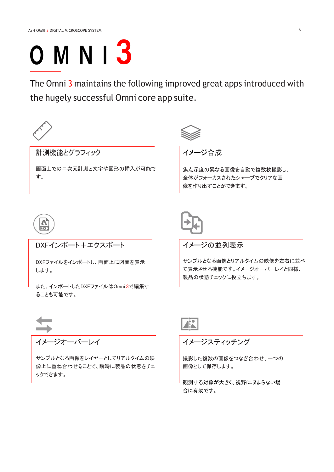# **OMNI3**

The Omni 3 maintains the following improved great apps introduced with the hugely successful Omni core app suite.



サンプルとなる画像をレイヤーとしてリアルタイムの映 像上に重ね合わせることで、瞬時に製品の状態をチェ ックできます。



合に有効です。

画像として保存します。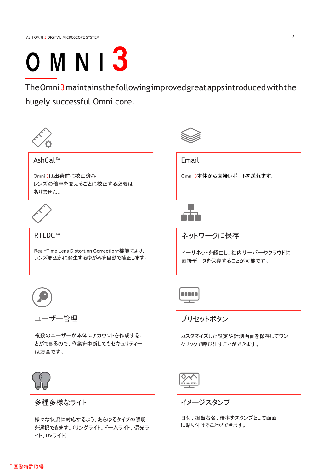## **OMNI3**

TheOmni3maintainsthefollowingimprovedgreatappsintroducedwiththe hugely successful Omni core.



AshCal™

Omni 3は出荷前に校正済み。 レンズの倍率を変えるごとに校正する必要は ありません。



RTLDC™

Real-Time Lens Distortion Correction\*機能により、 レンズ周辺部に発生するゆがみを自動で補正します。



ユーザー管理

複数のユーザーが本体にアカウントを作成するこ とができるので、作業を中断してもセキュリティー は万全です。



### 多種多様なライト

様々な状況に対応するよう、あらゆるタイプの照明 を選択できます。(リングライト、ドームライト、偏光ラ イト、UVライト)



Email

Omni 3本体から直接レポートを送れます。



ネットワークに保存

イーサネットを経由し、社内サーバーやクラウドに 直接データを保存することが可能です。



プリセットボタン

カスタマイズした設定や計測画面を保存してワン クリックで呼び出すことができます。



イメージスタンプ

日付、担当者名、倍率をスタンプとして画面 に貼り付けることができます。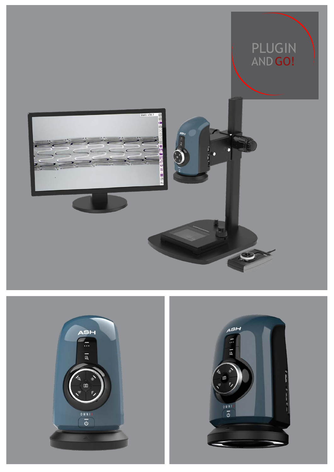





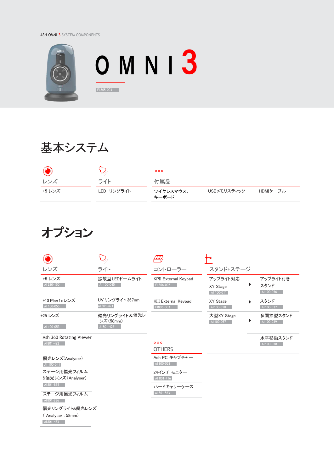ASH OMNI 3 SYSTEM COMPONENTS



## 基本システム

|        |            | 000                |             |          |
|--------|------------|--------------------|-------------|----------|
| レンズ    | ライト        | 付属品                |             |          |
| +5 レンズ | LED リングライト | ワイヤレスマウス、<br>キーボード | USBメモリスティック | HDMIケーブル |

## オプション

|                                                 |                                         | /==/                                      |                                    |   |                                |
|-------------------------------------------------|-----------------------------------------|-------------------------------------------|------------------------------------|---|--------------------------------|
| レンズ                                             | ライト                                     | コントローラー                                   | スタンド+ステージ                          |   |                                |
| +5 レンズ<br>AI 280-150                            | 拡散型LEDドームライト<br>AI 100-045              | <b>KPII External Keypad</b><br>FI 806-002 | アップライト対応<br>XY Stage<br>AI 100-011 | ₽ | アップライト付き<br>スタンド<br>AI 100-036 |
| +10 Plan 1x レンズ<br>AI 100-055                   | UV リングライト 367nm<br>AI 801-421           | <b>KIII External Keypad</b><br>FI806-003  | XY Stage<br>AI 100-010             |   | スタンド<br>AI 100-037             |
| +25 レンズ<br>AI 100-053                           | 偏光リングライト&偏光レ<br>ンズ (58mm)<br>AI 801-423 |                                           | 大型XY Stage<br>AI 100-057           |   | 多関節型スタンド<br>AI 100-039         |
| Ash 360 Rotating Viewer<br>AI801-422            |                                         | 000<br><b>OTHERS</b>                      |                                    |   | 水平移動スタンド<br>AI 100-038         |
| 偏光レンズ(Analyser)<br>AI 100-041                   |                                         | Ash PC キャプチャー<br>AI 100-052               |                                    |   |                                |
| ステージ用偏光フィルム<br>&偏光レンズ (Analyser)<br>AI801-835   |                                         | 24インチ モニター<br>AI 801-416<br>ハードキャリーケース    |                                    |   |                                |
| ステージ用偏光フィルム<br>AI801-836                        |                                         | AI 801-563                                |                                    |   |                                |
| 偏光リングライト&偏光レンズ<br>(Analyser: 58mm)<br>AI801-423 |                                         |                                           |                                    |   |                                |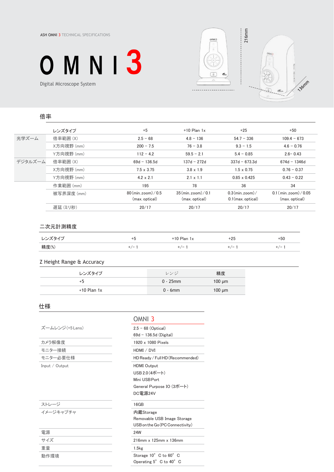ASH OMNI 3 TECHNICAL SPECIFICATIONS







### 倍率

|         | レンズタイプ     | $+5$                             | $+10$ Plan $1x$                  | $+25$                | $+50$                    |
|---------|------------|----------------------------------|----------------------------------|----------------------|--------------------------|
| 光学ズーム   | 倍率範囲 (X)   | $2.5 - 68$                       | $4.8 - 136$                      | $54.7 - 336$         | $109.4 - 673$            |
|         | X方向視野 (mm) | $200 - 7.5$                      | $76 - 3.8$                       | $9.3 - 1.5$          | $4.6 - 0.76$             |
|         | Y方向視野 (mm) | $112 - 4.2$                      | $59.5 - 2.1$                     | $5.4 - 0.85$         | $2.6 - 0.43$             |
| デジタルズーム | 倍率範囲 (X)   | $69d - 136.5d$                   | 137d - 272d                      | $337d - 673.3d$      | $674d - 1346d$           |
|         | X方向視野 (mm) | $7.5 \times 3.75$                | $3.8 \times 1.9$                 | $1.5 \times 0.75$    | $0.76 - 0.37$            |
|         | Y方向視野 (mm) | $4.2 \times 2.1$                 | $2.1 \times 1.1$                 | $0.85 \times 0.425$  | $0.43 - 0.22$            |
|         | 作業範囲 (mm)  | 195                              | 78                               | 36                   | 34                       |
|         | 被写界深度 (mm) | $80 \, \text{(min. zoom)} / 0.5$ | $35 \, \text{(min. zoom)} / 0.1$ | $0.3$ (min. zoom)/   | $0.1$ (min. zoom) / 0.05 |
|         |            | (max. optical)                   | (max. optical)                   | $0.1$ (max. optical) | (max. optical)           |
|         | 遅延 (ミリ秒)   | 20/17                            | 20/17                            | 20/17                | 20/17                    |

#### 二次元計測精度

| ・ブカノプ | ۰.        | $+10$ Plan $1x$ | +25 | $+50$ |
|-------|-----------|-----------------|-----|-------|
| 精度(%) | $+$ / $-$ | $+/-$           | -   |       |

### Z Height Range & Accuracy

| レンズタイプ        | レンジ         | 精度          |
|---------------|-------------|-------------|
| +5            | $0 - 25$ mm | $100 \mu m$ |
| $+10$ Plan 1x | $0 - 6$ mm  | $100 \mu m$ |

### 仕様

| ズームレンジ (+5 Lens) | $2.5 - 68$ (Optical) |
|------------------|----------------------|
|                  | 69d - 136.5d (Digit  |
| カメラ解像度           | 1920 x 1080 Pixels   |
| モニター接続           | HDMI / DVI           |
| モニター必要仕様         | $HD$ Ready / Full HD |
| Input / $Output$ | <b>HDMI</b> Output   |

### OMNI 3

| ズームレンジ (+5 Lens) | $2.5 - 68$ (Optical)             |
|------------------|----------------------------------|
|                  | $69d - 136.5d$ (Digital)         |
| カメラ解像度           | 1920 x 1080 Pixels               |
| モニター接続           | HDMI / DVI                       |
| モニター必要仕様         | HD Ready / Full HD (Recommended) |
| Input / Output   | <b>HDMI</b> Output               |
|                  | USB 2.0 $(4\pi$ – ト)             |
|                  | Mini USB Port                    |
|                  | General Purpose IO (3ポート)        |
|                  | DC電源24V                          |
| ストレージ            | 16GB                             |
| イメージキャプチャ        | 内蔵Storage                        |
|                  | Removable USB Image Storage      |
|                  | USB on the Go (PC Connectivity)  |
| 電源               | 24W                              |
| サイズ              | 216mm x 125mm x 136mm            |
| 重量               | 1.5kg                            |
| 動作環境             | Storage 10° C to 60° C           |
|                  | Operating 5° C to 40° C          |
|                  |                                  |

#### ストレージ

| 雷源   | 24W                            |
|------|--------------------------------|
| サイズ  | $216$ mm x $125$ mm x $136$ mm |
| 重量   | 1.5k <sub>g</sub>              |
| 動作環境 | Storage 10° C to 60° C         |
|      |                                |